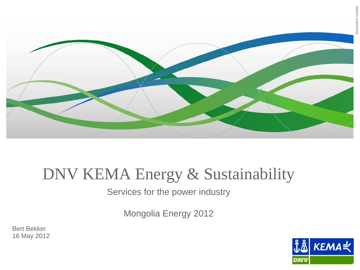

### DNV KEMA Energy & Sustainability

Services for the power industry

Mongolia Energy 2012

Bert Bekker 16 May 2012

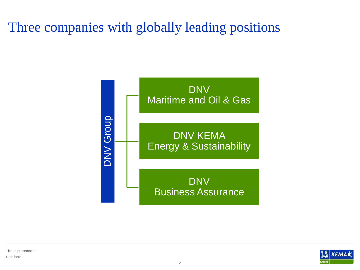### Three companies with globally leading positions





Title of presentation Date here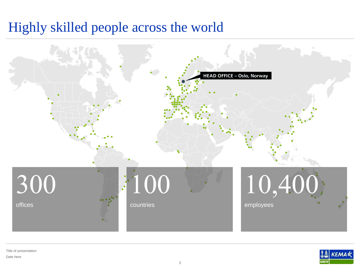### Highly skilled people across the world





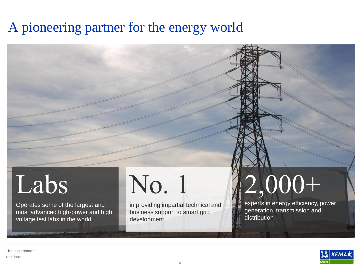### A pioneering partner for the energy world

## Labs

Operates some of the largest and most advanced high-power and high voltage test labs in the world

# No. 1

in providing impartial technical and business support to smart grid development

# 2,000+

experts in energy efficiency, power generation, transmission and distribution



Title of presentation Date here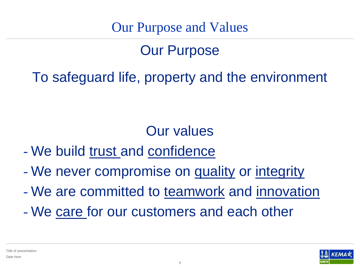Our Purpose and Values

### Our Purpose

To safeguard life, property and the environment

### Our values

- We build trust and confidence
- We never compromise on quality or integrity
- We are committed to teamwork and innovation
- We care for our customers and each other

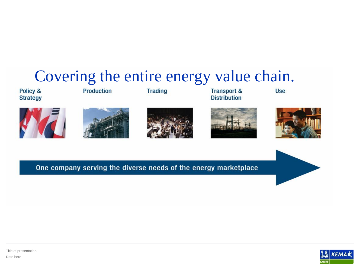### Covering the entire energy value chain.

Policy & **Strategy**  **Production** 

**Trading** 

**Transport & Distribution** 

**Use** 









One company serving the diverse needs of the energy marketplace



Title of presentation Date here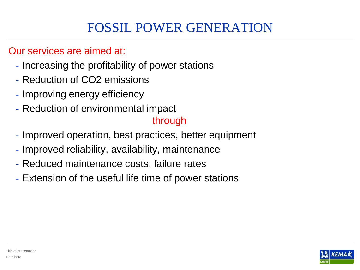### FOSSIL POWER GENERATION

#### Our services are aimed at:

- Increasing the profitability of power stations
- Reduction of CO2 emissions
- Improving energy efficiency
- Reduction of environmental impact

#### through

- Improved operation, best practices, better equipment
- Improved reliability, availability, maintenance
- Reduced maintenance costs, failure rates
- Extension of the useful life time of power stations

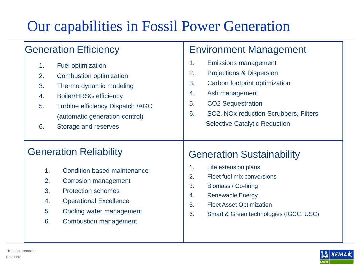### Our capabilities in Fossil Power Generation

| <b>Generation Efficiency</b>            | <b>Environment Management</b>          |
|-----------------------------------------|----------------------------------------|
| <b>Fuel optimization</b>                | 1.                                     |
| 1.                                      | <b>Emissions management</b>            |
| 2.                                      | 2.                                     |
| <b>Combustion optimization</b>          | <b>Projections &amp; Dispersion</b>    |
| 3.                                      | 3.                                     |
| Thermo dynamic modeling                 | Carbon footprint optimization          |
| <b>Boiler/HRSG efficiency</b>           | Ash management                         |
| 4.                                      | 4.                                     |
| <b>Turbine efficiency Dispatch /AGC</b> | <b>CO2 Sequestration</b>               |
| 5.                                      | 5.                                     |
| (automatic generation control)          | 6.                                     |
| 6.                                      | SO2, NOx reduction Scrubbers, Filters  |
| Storage and reserves                    | <b>Selective Catalytic Reduction</b>   |
| <b>Generation Reliability</b>           | <b>Generation Sustainability</b>       |
| 1 <sub>1</sub>                          | Life extension plans                   |
| <b>Condition based maintenance</b>      | 1.                                     |
| 2.                                      | 2.                                     |
| Corrosion management                    | Fleet fuel mix conversions             |
| 3.                                      | 3.                                     |
| <b>Protection schemes</b>               | Biomass / Co-firing                    |
| 4.                                      | <b>Renewable Energy</b>                |
| <b>Operational Excellence</b>           | 4.                                     |
| 5.                                      | <b>Fleet Asset Optimization</b>        |
| Cooling water management                | 5.                                     |
| 6.                                      | Smart & Green technologies (IGCC, USC) |
| <b>Combustion management</b>            | 6.                                     |

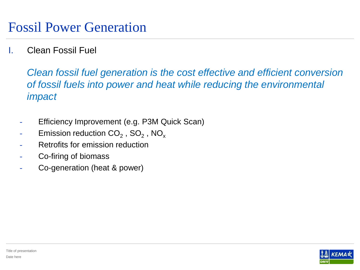#### I. Clean Fossil Fuel

*Clean fossil fuel generation is the cost effective and efficient conversion of fossil fuels into power and heat while reducing the environmental impact*

- Efficiency Improvement (e.g. P3M Quick Scan)
- $\quad$  Emission reduction CO $_2$  , SO $_2$  , NO $_\mathrm{x}$
- Retrofits for emission reduction
- Co-firing of biomass
- Co-generation (heat & power)

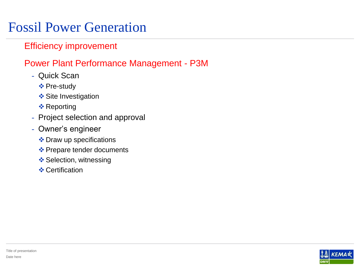### Fossil Power Generation

#### Efficiency improvement

#### Power Plant Performance Management - P3M

- Quick Scan
	- ❖ Pre-study
	- **❖ Site Investigation**
	- **❖ Reporting**
- Project selection and approval
- Owner's engineer
	- ❖ Draw up specifications
	- ❖ Prepare tender documents
	- ❖ Selection, witnessing
	- **❖ Certification**

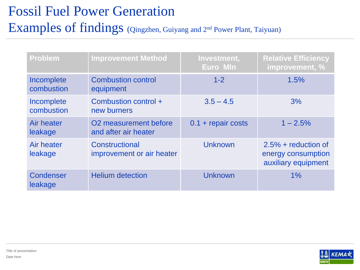### Fossil Fuel Power Generation Examples of findings (Qingzhen, Guiyang and 2nd Power Plant, Taiyuan)

| <b>Problem</b>           | <b>Improvement Method</b>                                 | Investment,<br>Euro MIn | <b>Relative Efficiency</b><br>improvement, %                       |
|--------------------------|-----------------------------------------------------------|-------------------------|--------------------------------------------------------------------|
| Incomplete<br>combustion | <b>Combustion control</b><br>equipment                    | $1 - 2$                 | 1.5%                                                               |
| Incomplete<br>combustion | Combustion control +<br>new burners                       | $3.5 - 4.5$             | 3%                                                                 |
| Air heater<br>leakage    | O <sub>2</sub> measurement before<br>and after air heater | $0.1$ + repair costs    | $1 - 2.5%$                                                         |
| Air heater<br>leakage    | Constructional<br>improvement or air heater               | <b>Unknown</b>          | $2.5% + reduction of$<br>energy consumption<br>auxiliary equipment |
| Condenser<br>leakage     | <b>Helium detection</b>                                   | <b>Unknown</b>          | $1\%$                                                              |

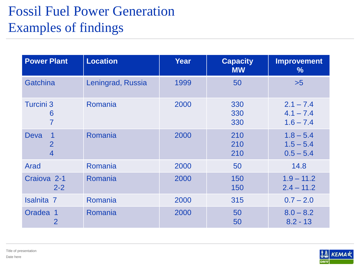### Fossil Fuel Power Generation Examples of findings

| <b>Power Plant</b>                              | <b>Location</b>   | Year | <b>Capacity</b><br><b>MW</b> | <b>Improvement</b><br>$\frac{9}{6}$       |
|-------------------------------------------------|-------------------|------|------------------------------|-------------------------------------------|
| Gatchina                                        | Leningrad, Russia | 1999 | 50                           | $>5$                                      |
| <b>Turcini 3</b><br>6<br>$\overline{7}$         | Romania           | 2000 | 330<br>330<br>330            | $2.1 - 7.4$<br>$4.1 - 7.4$<br>$1.6 - 7.4$ |
| <b>Deva</b><br>$\overline{2}$<br>$\overline{4}$ | Romania           | 2000 | 210<br>210<br>210            | $1.8 - 5.4$<br>$1.5 - 5.4$<br>$0.5 - 5.4$ |
| Arad                                            | Romania           | 2000 | 50                           | 14.8                                      |
| Craiova <sub>2-1</sub><br>$2 - 2$               | Romania           | 2000 | 150<br>150                   | $1.9 - 11.2$<br>$2.4 - 11.2$              |
| <b>Isalnita 7</b>                               | Romania           | 2000 | 315                          | $0.7 - 2.0$                               |
| Oradea 1<br>2                                   | Romania           | 2000 | 50<br>50                     | $8.0 - 8.2$<br>$8.2 - 13$                 |

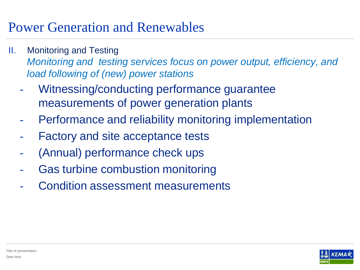- II. Monitoring and Testing *Monitoring and testing services focus on power output, efficiency, and load following of (new) power stations*
	- Witnessing/conducting performance guarantee measurements of power generation plants
	- Performance and reliability monitoring implementation
	- Factory and site acceptance tests
	- (Annual) performance check ups
	- Gas turbine combustion monitoring
	- Condition assessment measurements

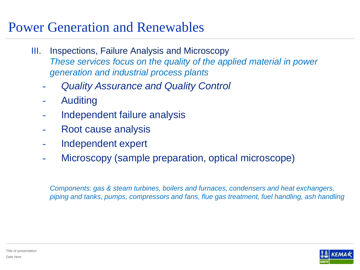- III. Inspections, Failure Analysis and Microscopy *These services focus on the quality of the applied material in power generation and industrial process plants*
	- *Quality Assurance and Quality Control*
	- **Auditing**
	- Independent failure analysis
	- Root cause analysis
	- Independent expert
	- Microscopy (sample preparation, optical microscope)

*Components: gas & steam turbines, boilers and furnaces, condensers and heat exchangers, piping and tanks, pumps, compressors and fans, flue gas treatment, fuel handling, ash handling*

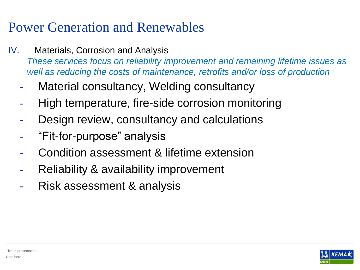- IV. Materials, Corrosion and Analysis *These services focus on reliability improvement and remaining lifetime issues as well as reducing the costs of maintenance, retrofits and/or loss of production*
	- Material consultancy, Welding consultancy
	- High temperature, fire-side corrosion monitoring
	- Design review, consultancy and calculations
	- "Fit-for-purpose" analysis
	- Condition assessment & lifetime extension
	- Reliability & availability improvement
	- Risk assessment & analysis

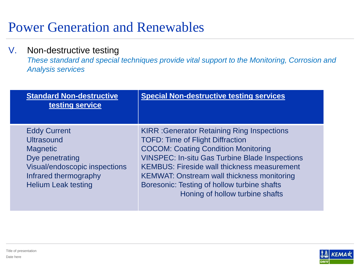#### V. Non-destructive testing

*These standard and special techniques provide vital support to the Monitoring, Corrosion and Analysis services*

| <b>Standard Non-destructive</b><br>testing service                                                                                                                     | <b>Special Non-destructive testing services</b>                                                                                                                                                                                                                                                                                                                                                  |
|------------------------------------------------------------------------------------------------------------------------------------------------------------------------|--------------------------------------------------------------------------------------------------------------------------------------------------------------------------------------------------------------------------------------------------------------------------------------------------------------------------------------------------------------------------------------------------|
| <b>Eddy Current</b><br><b>Ultrasound</b><br><b>Magnetic</b><br>Dye penetrating<br>Visual/endoscopic inspections<br>Infrared thermography<br><b>Helium Leak testing</b> | <b>KIRR: Generator Retaining Ring Inspections</b><br><b>TOFD: Time of Flight Diffraction</b><br><b>COCOM: Coating Condition Monitoring</b><br><b>VINSPEC: In-situ Gas Turbine Blade Inspections</b><br><b>KEMBUS: Fireside wall thickness measurement</b><br><b>KEMWAT: Onstream wall thickness monitoring</b><br>Boresonic: Testing of hollow turbine shafts<br>Honing of hollow turbine shafts |

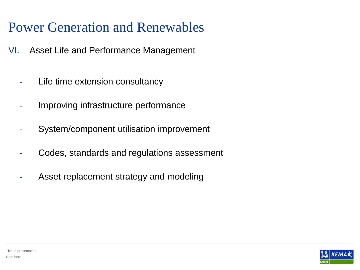- VI. Asset Life and Performance Management
	- Life time extension consultancy
	- Improving infrastructure performance
	- System/component utilisation improvement
	- Codes, standards and regulations assessment
	- Asset replacement strategy and modeling

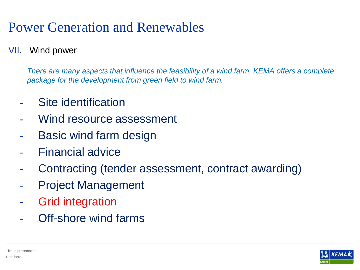#### VII. Wind power

*There are many aspects that influence the feasibility of a wind farm. KEMA offers a complete package for the development from green field to wind farm.*

- Site identification
- Wind resource assessment
- Basic wind farm design
- Financial advice
- Contracting (tender assessment, contract awarding)
- Project Management
- Grid integration
- Off-shore wind farms

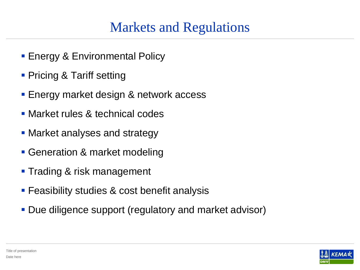### Markets and Regulations

- **Energy & Environmental Policy**
- **Pricing & Tariff setting**
- Energy market design & network access
- **Market rules & technical codes**
- Market analyses and strategy
- Generation & market modeling
- **Trading & risk management**
- **Feasibility studies & cost benefit analysis**
- Due diligence support (regulatory and market advisor)

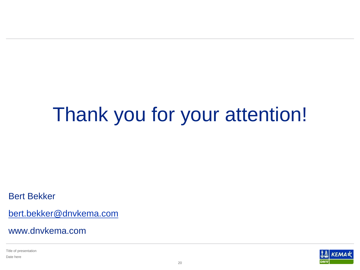## Thank you for your attention!

Bert Bekker

[bert.bekker@dnvkema.com](mailto:bert.bekker@dnvkema.com)

www.dnvkema.com

Title of presentation Date here